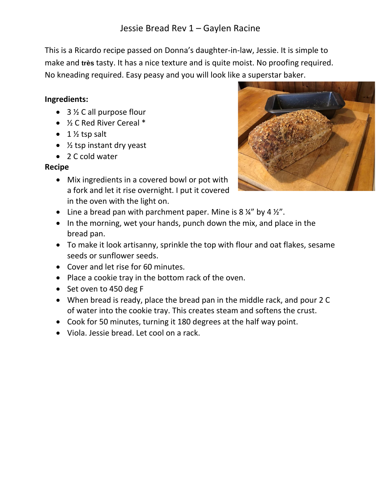This is a Ricardo recipe passed on Donna's daughter-in-law, Jessie. It is simple to make and **très** tasty. It has a nice texture and is quite moist. No proofing required. No kneading required. Easy peasy and you will look like a superstar baker.

## **Ingredients:**

- 3 ½ C all purpose flour
- ½ C Red River Cereal \*
- $\bullet$  1  $\frac{1}{2}$  tsp salt
- $\frac{1}{2}$  tsp instant dry yeast
- 2 C cold water

## **Recipe**

• Mix ingredients in a covered bowl or pot with a fork and let it rise overnight. I put it covered in the oven with the light on.



- Line a bread pan with parchment paper. Mine is  $8\frac{1}{4}$  by  $4\frac{1}{2}$ ".
- In the morning, wet your hands, punch down the mix, and place in the bread pan.
- To make it look artisanny, sprinkle the top with flour and oat flakes, sesame seeds or sunflower seeds.
- Cover and let rise for 60 minutes.
- Place a cookie tray in the bottom rack of the oven.
- Set oven to 450 deg F
- When bread is ready, place the bread pan in the middle rack, and pour 2 C of water into the cookie tray. This creates steam and softens the crust.
- Cook for 50 minutes, turning it 180 degrees at the half way point.
- Viola. Jessie bread. Let cool on a rack.